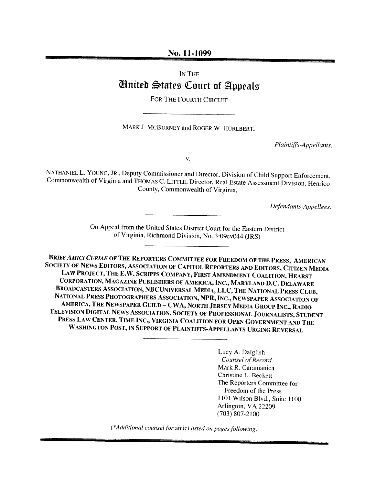#### No. 11-1099

# IN THE Ginited States Court of Appeals

FOR THE FOURTH CIRCUIT

MARK J. MCBURNEY and ROGER W. HURLBERT.

Plaintiffs-Appellants,

V.

NATHANIEL L. YOUNG, JR., Deputy Commissioner and Director, Division of Child Support Enforcement. Commonwealth of Virginia and THOMAS C. LITTLE, Director, Real Estate Assessment Division, Henrico County, Commonwealth of Virginia,

Defendants-Appellees.

On Appeal from the United States District Court for the Eastern District of Virginia, Richmond Division, No. 3:09cv044 (JRS)

BRIEF AMICI CURIAE OF THE REPORTERS COMMITTEE FOR FREEDOM OF THE PRESS, AMERICAN SOCIETY OF NEWS EDITORS, ASSOCIATION OF CAPITOL REPORTERS AND EDIToRs, CITIZEN MEDIA LAW PROJECT, THE E.W. SCRIPPS COMPANY, FIRST AMENDMENT COALITION, HEARST CORPORATION, MAGAZINE PUBLISHERS OF AMERICA, INC., MARYLAND D.C. DELAWARE BROADCASTERS AssocIATIoN, NBCUNIVERSAL MEDIA, LLC, THE NATIONAL PRESS CLUB, NATIONAL PRESS PHOTOGRAPHERS ASSOCIATION, NPR, INC., NEWSPAPER ASSOCIATION OF AMERICA, THE NEWSPAPER GUILD — CWA, NORTH JERSEY MEDIA GROUP INC., RADIO TELEVISION DIGITAL NEWS ASSOCIATION. SOCIETY OF PROFESSIONAL JOURNALISTS, STUDENT PRESS LAW CENTER, TIME INC., VIRGINiA COALITION FOR OPEN GOVERNMENT AND THE WASHINGTON POST, IN SUPPORT OF PLAINTIFFS-APPELLANTS URGING REVERSAL

> Lucy A. Daiglish Counsel of Record Mark R. Caramanica Christine L. Becketi The Reporters Committee for Freedom of the Press 1101 Wilson Blvd.. Suite I 100 Arlington, VA 22209 (703) 807-2100

 $(*Additional \, complex)$  counsel for amici listed on pages following)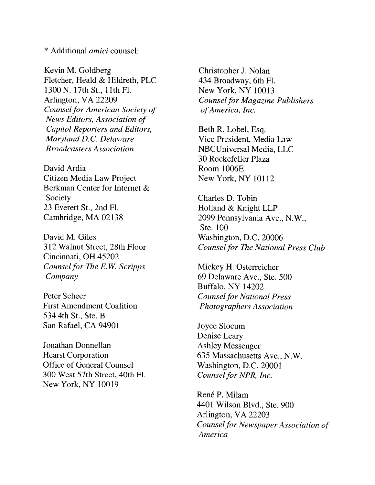\* Additional *amici* counsel:

Kevin M. Goldberg Fletcher. Heald & Hildreth. PLC 1300 N. 17th St., 11th Fl. Arlington, VA 22209 Counsel for American Society of News Editors, Association of Capitol Reporters and Editors, Maryland D.C. Delaware Broadcasters Association

David Ardia Citizen Media Law Project Berkman Center for Internet & Society 23 Everett St., 2nd Fl. Cambridge, MA 02138

David M. Giles 312 Walnut Street, 28th Floor Cincinnati, OH 45202 Counsel for The E.W. Scripps Company

Peter Scheer First Amendment Coalition 534 4th St., Ste. B San Rafael, CA 94901

Jonathan Donnellan Hearst Corporation Office of General Counsel 300 West 57th Street. 40th Fl. New York, NY 10019

Christopher J. Nolan 434 Broadway, 6th Fl. New York, NY 10013 Counsel for Magazine Publishers ofAmerica, Inc.

Beth R, Lobel, Esq. Vice President, Media Law NBCUniversal Media, LLC 30 Rockefeller Plaza Room 1006E New York, NY 10112

Charles D. Tobin Holland & Knight LLP 2099 Pennsylvania Ave., N.W., Ste. 100 Washington, D.C. 20006 Counsel for The National Press Club

Mickey H. Osterreicher 69 Delaware Ave., Ste. 500 Buffalo, NY 14202 Counsel for National Press Photographers Association

Joyce Slocum Denise Leary Ashley Messenger 635 Massachusetts Ave., N.W. Washington. D.C. 20001 Counsel for NPR, Inc.

René P. Milam 4401 Wilson Blvd.. Ste. 900 Arlington, VA 22203 Counsel for Newspaper Association of America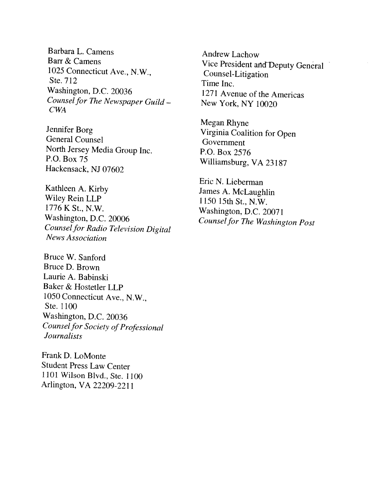Barbara L. Camens Barr & Camens 1025 Connecticut Ave., N.W.. Ste. 712 Washington, D.C. 20036 Counsel for The Newspaper Guild -CWA

Jennifer Borg General Counsel North Jersey Media Group Inc. P.O. Box 75 Hackensack, NJ 07602

Kathleen A. Kirby Wiley Rein LLP 1776 K St., N.W. Washington, D.C. 20006 Counsel for Radio Television Digital News Association

Bruce W. Sanford Bruce D. Brown Laurie A. Babinski Baker & Hostetler LLP <sup>1050</sup> Connecticut Ave., N.W., Ste. 1100 Washington, D.C. 20036 Counsel for Society of Professional *Journalists* 

Frank D. LoMonte Student Press Law Center 1101 Wilson Blvd., Ste. 1100 Arlington, VA 22209-2211

Andrew Lachow Vice President and Deputy General Counsel-Litigation Time Inc. 1271 Avenue of the Americas New York, NY 10020

Megan Rhyne Virginia Coalition for Open Government P.O. Box 2576 Williamsburg, VA 23187

Eric N. Lieberman James A. McLaughlin 1150 15th St., N.W. Washington, D.C. 20071 Counselfor The Washington Post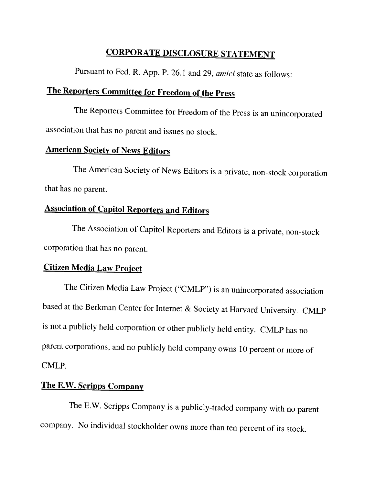# CORPORATE DISCLOSURE STATEMENT

Pursuant to Fed. R. App. P. 26.1 and 29, amici state as follows:

# The Reporters Committee for Freedom of the Press

The Reporters Committee for Freedom of the Press is an unincorporated association that has no parent and issues no stock.

# American Society of News Editors

The American Society of News Editors is <sup>a</sup> private, non-stock corporation that has no parent.

# Association of Capitol Reporters and Editors

The Association of Capitol Reporters and Editors is <sup>a</sup> private, non-stock corporation that has no parent.

## Citizen Media Law Project

The Citizen Media Law Project ("CMLP") is an unincorporated association based at the Berkman Center for Internet & Society at Harvard University. CMLP is not <sup>a</sup> publicly held corporation or other publicly held entity. CMLP has no parent corporations. and no publicly held company owns <sup>10</sup> percent or more of CMLP.

# The E.W. Scripps Company

The E.W. Scripps Company is a publicly-traded company with no parent company. No individual stockholder owns more than ten percent of its stock.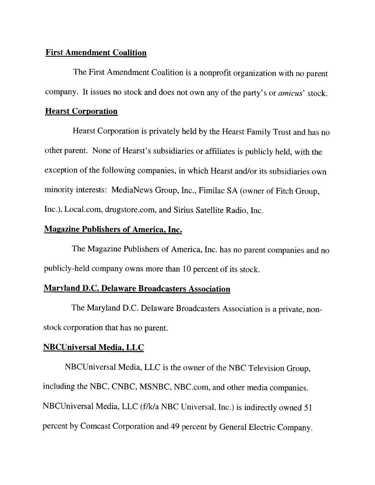#### First Amendment Coalition

The First Amendment Coalition is <sup>a</sup> nonprofit organization with no parent company. It issues no stock and does not own any of the party's or *amicus'* stock.

### Hearst Corporation

Hearst Corporation is privately held by the Hearst Family Trust and has no other parent. None of Hearst's subsidiaries or affiliates is publicly held, with the exception of the following companies, in which Hearst and/or its subsidiaries own minority interests: MediaNews Group, Inc., Firnilac SA (owner of Fitch Group, Inc.), Local.com, drugstore.com, and Sirius Satellite Radio, Inc.

## Magazine Publishers of America, Inc.

The Magazine Publishers of America, Inc. has no parent companies and no publicly-held company owns more than <sup>10</sup> percent of its stock.

## Maryland D.C. Delaware Broadcasters Association

The Maryland D.C. Delaware Broadcasters Association is <sup>a</sup> private, nonstock corporation that has no parent.

## NBCUniversal Media, LLC

NBCUniversal Media, LLC is the owner of the NBC Television Group, including the NBC, CNBC, MSNBC, NBC.com, and other media companies. NBCUniversal Media, LLC (f/k/a NBC Universal, Inc.) is indirectly owned <sup>51</sup> percent by Comcast Corporation and <sup>49</sup> percent by General Electric Company.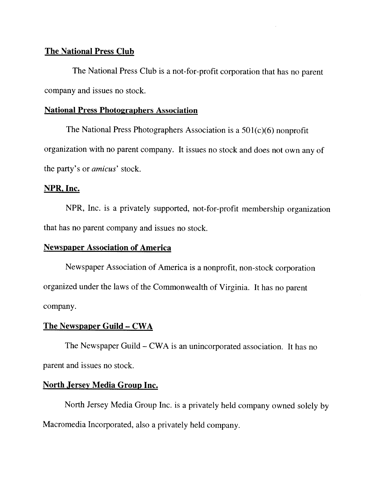### The National Press Club

The National Press Club is a not-for-profit corporation that has no parent company and issues no stock.

#### National Press Photographers Association

The National Press Photographers Association is a  $501(c)(6)$  nonprofit organization with no parent company. It issues no stock and does not own any of the party's or amicus' stock.

### NPR, Inc.

NPR, Inc. is <sup>a</sup> privately supported, not-for-profit membership organization that has no parent company and issues no stock.

## Newspaper Association of America

Newspaper Association of America is <sup>a</sup> nonprofit, non-stock corporation organized under the laws of the Commonwealth of Virginia. It has no parent company.

#### The Newspaper Guild — CWA

The Newspaper Guild — CWA is an unincorporated association. It has no parent and issues no stock.

### North Jersey Media Group Inc.

North Jersey Media Group Inc. is <sup>a</sup> privately held company owned solely by Macromedia Incorporated, also a privately held company.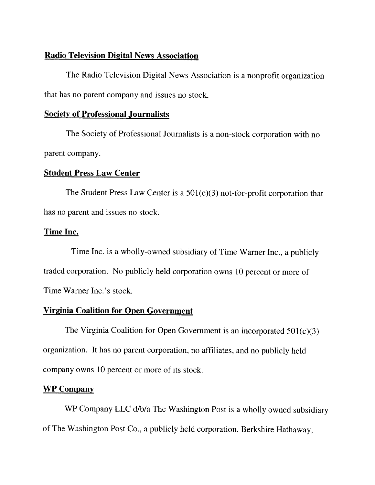### Radio Television Digital News Association

The Radio Television Digital News Association is <sup>a</sup> nonprofit organization that has no parent company and issues no stock.

## Society of Professional Journalists

The Society of Professional Journalists is <sup>a</sup> non-stock corporation with no parent company.

### Student Press Law Center

The Student Press Law Center is a  $501(c)(3)$  not-for-profit corporation that has no parent and issues no stock.

### Time Inc.

Time Inc. is <sup>a</sup> wholly-owned subsidiary of Time Warner Inc., <sup>a</sup> publicly traded corporation. No publicly held corporation owns <sup>10</sup> percent or more of Time Warner Inc.'s stock.

## Virginia Coalition for Open Government

The Virginia Coalition for Open Government is an incorporated  $501(c)(3)$ organization. It has no parent corporation. no affiliates, and no publicly held company owns 10 percent or more of its stock.

## WP Company

WP Company LLC d/b/a The Washington Post is a wholly owned subsidiary of The Washington Post Co.. <sup>a</sup> publicly held corporation. Berkshire Hathaway.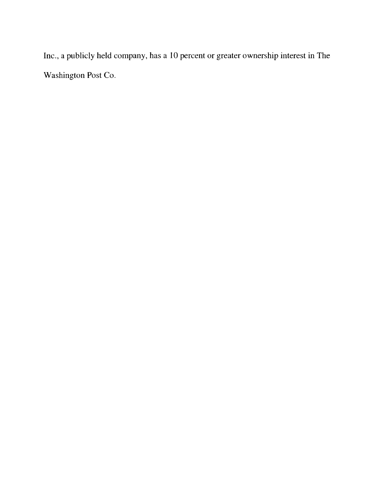Inc, a publicly held company, has a 10 percent or greater ownership interest in The Washington Post Co.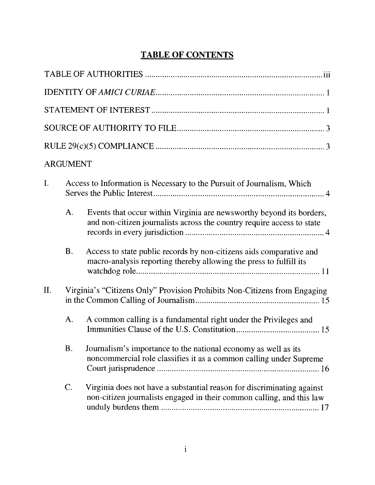# TABLE OF CONTENTS

|     | <b>ARGUMENT</b> |                                                                                                                                                 |
|-----|-----------------|-------------------------------------------------------------------------------------------------------------------------------------------------|
| I.  |                 | Access to Information is Necessary to the Pursuit of Journalism, Which                                                                          |
|     | A.              | Events that occur within Virginia are newsworthy beyond its borders,<br>and non-citizen journalists across the country require access to state  |
|     | <b>B.</b>       | Access to state public records by non-citizens aids comparative and<br>macro-analysis reporting thereby allowing the press to fulfill its       |
| II. |                 | Virginia's "Citizens Only" Provision Prohibits Non-Citizens from Engaging                                                                       |
|     | A.              | A common calling is a fundamental right under the Privileges and                                                                                |
|     | <b>B.</b>       | Journalism's importance to the national economy as well as its<br>noncommercial role classifies it as a common calling under Supreme            |
|     | C.              | Virginia does not have a substantial reason for discriminating against<br>non-citizen journalists engaged in their common calling, and this law |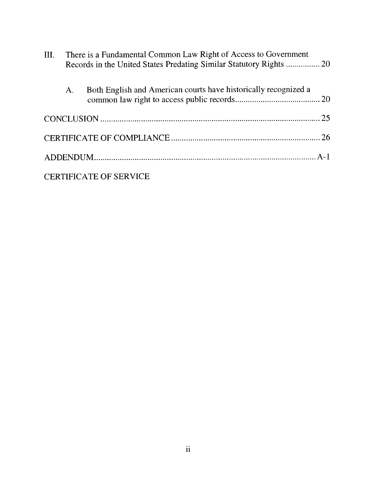| III. |    | There is a Fundamental Common Law Right of Access to Government<br>Records in the United States Predating Similar Statutory Rights  20 |  |  |
|------|----|----------------------------------------------------------------------------------------------------------------------------------------|--|--|
|      | A. | Both English and American courts have historically recognized a                                                                        |  |  |
|      |    |                                                                                                                                        |  |  |
|      |    |                                                                                                                                        |  |  |
|      |    |                                                                                                                                        |  |  |
|      |    | <b>CERTIFICATE OF SERVICE</b>                                                                                                          |  |  |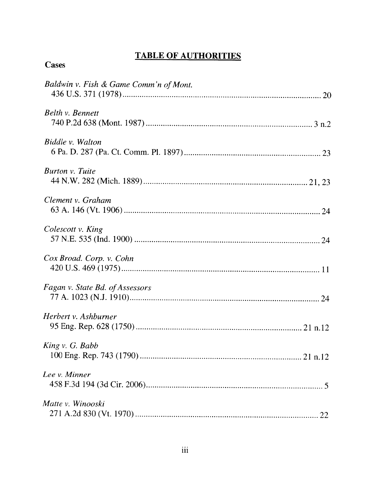# TABLE OF AUTHORITIES

| Baldwin v. Fish & Game Comm'n of Mont. |
|----------------------------------------|
| Belth v. Bennett                       |
| Biddle v. Walton                       |
| Burton v. Tuite                        |
| Clement v. Graham                      |
| Colescott v. King                      |
| Cox Broad. Corp. v. Cohn               |
| Fagan v. State Bd. of Assessors        |
| Herbert v. Ashburner                   |
| King v. G. Babb                        |
| Lee v. Minner                          |
| Matte v. Winooski                      |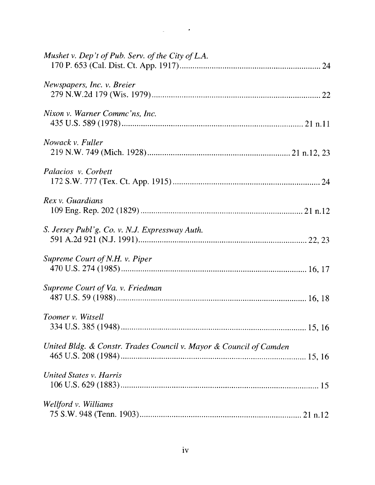| Mushet v. Dep't of Pub. Serv. of the City of L.A.                  |  |
|--------------------------------------------------------------------|--|
| Newspapers, Inc. v. Breier                                         |  |
| Nixon v. Warner Commc'ns, Inc.                                     |  |
| Nowack v. Fuller                                                   |  |
| Palacios v. Corbett                                                |  |
| Rex v. Guardians                                                   |  |
| S. Jersey Publ'g. Co. v. N.J. Expressway Auth.                     |  |
| Supreme Court of N.H. v. Piper                                     |  |
| Supreme Court of Va. v. Friedman                                   |  |
| Toomer v. Witsell                                                  |  |
| United Bldg. & Constr. Trades Council v. Mayor & Council of Camden |  |
| <b>United States v. Harris</b>                                     |  |
| Wellford v. Williams                                               |  |

 $\label{eq:2.1} \frac{1}{\sqrt{2\pi}}\int_{0}^{\infty}\frac{1}{\sqrt{2\pi}}\left(\frac{1}{\sqrt{2\pi}}\right)^{2\alpha}e^{-\frac{1}{2\alpha}}\frac{1}{\sqrt{2\pi}}\int_{0}^{\infty}\frac{1}{\sqrt{2\pi}}\frac{1}{\sqrt{2\pi}}\frac{1}{\sqrt{2\pi}}\frac{1}{\sqrt{2\pi}}\frac{1}{\sqrt{2\pi}}\frac{1}{\sqrt{2\pi}}\frac{1}{\sqrt{2\pi}}\frac{1}{\sqrt{2\pi}}\frac{1}{\sqrt{2\pi}}\frac{1}{\sqrt{2\pi}}\frac{1$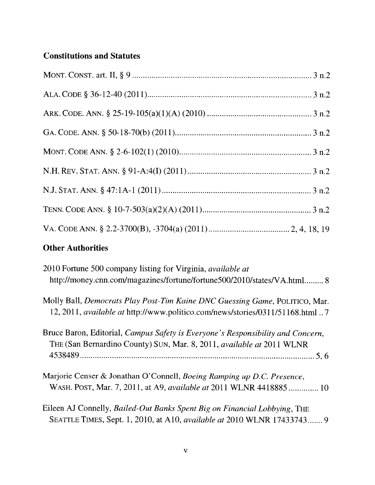# Constitutions and Statutes

# Other Authorities

| 2010 Fortune 500 company listing for Virginia, <i>available at</i><br>http://money.cnn.com/magazines/fortune/fortune500/2010/states/VA.html 8                   |
|-----------------------------------------------------------------------------------------------------------------------------------------------------------------|
| Molly Ball, Democrats Play Post-Tim Kaine DNC Guessing Game, POLITICO, Mar.<br>12, 2011, available at http://www.politico.com/news/stories/0311/51168.html  7   |
| Bruce Baron, Editorial, Campus Safety is Everyone's Responsibility and Concern,<br>THE (San Bernardino County) SUN, Mar. 8, 2011, <i>available at</i> 2011 WLNR |
| Marjorie Censer & Jonathan O'Connell, Boeing Ramping up D.C. Presence,<br>WASH. POST, Mar. 7, 2011, at A9, available at 2011 WLNR 4418885  10                   |
| Eileen AJ Connelly, Bailed-Out Banks Spent Big on Financial Lobbying, THE<br>SEATTLE TIMES, Sept. 1, 2010, at A10, <i>available at</i> 2010 WLNR 17433743 9     |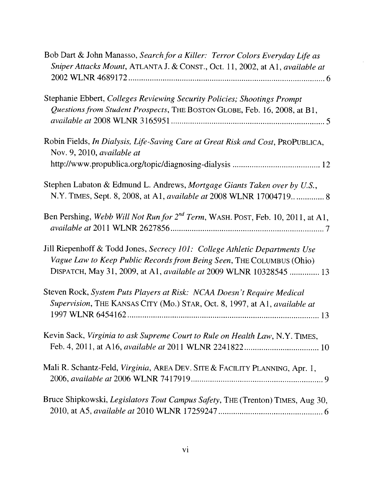| Bob Dart & John Manasso, Search for a Killer: Terror Colors Everyday Life as<br>Sniper Attacks Mount, ATLANTA J. & CONST., Oct. 11, 2002, at A1, available at                                                              |
|----------------------------------------------------------------------------------------------------------------------------------------------------------------------------------------------------------------------------|
|                                                                                                                                                                                                                            |
| Stephanie Ebbert, Colleges Reviewing Security Policies; Shootings Prompt<br>Questions from Student Prospects, THE BOSTON GLOBE, Feb. 16, 2008, at B1,                                                                      |
| Robin Fields, In Dialysis, Life-Saving Care at Great Risk and Cost, PROPUBLICA,<br>Nov. 9, 2010, available at                                                                                                              |
|                                                                                                                                                                                                                            |
| Stephen Labaton & Edmund L. Andrews, Mortgage Giants Taken over by U.S.,<br>N.Y. TIMES, Sept. 8, 2008, at A1, available at 2008 WLNR 17004719 8                                                                            |
| Ben Pershing, Webb Will Not Run for 2 <sup>nd</sup> Term, WASH. POST, Feb. 10, 2011, at A1,                                                                                                                                |
| Jill Riepenhoff & Todd Jones, Secrecy 101: College Athletic Departments Use<br>Vague Law to Keep Public Records from Being Seen, THE COLUMBUS (Ohio)<br>DISPATCH, May 31, 2009, at A1, available at 2009 WLNR 10328545  13 |
| Steven Rock, System Puts Players at Risk: NCAA Doesn't Require Medical<br>Supervision, THE KANSAS CITY (Mo.) STAR, Oct. 8, 1997, at A1, available at                                                                       |
| Kevin Sack, Virginia to ask Supreme Court to Rule on Health Law, N.Y. TIMES,                                                                                                                                               |
| Mali R. Schantz-Feld, Virginia, AREA DEV. SITE & FACILITY PLANNING, Apr. 1,                                                                                                                                                |
| Bruce Shipkowski, Legislators Tout Campus Safety, THE (Trenton) TIMES, Aug 30,                                                                                                                                             |

 $\mathcal{L}^{\mathcal{L}}$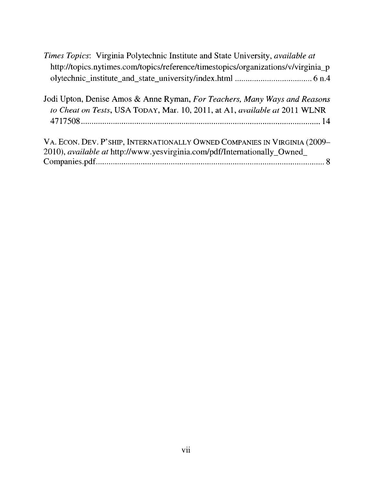| <i>Times Topics:</i> Virginia Polytechnic Institute and State University, <i>available at</i> |
|-----------------------------------------------------------------------------------------------|
| http://topics.nytimes.com/topics/reference/timestopics/organizations/v/virginia_p             |
|                                                                                               |
|                                                                                               |

| Jodi Upton, Denise Amos & Anne Ryman, For Teachers, Many Ways and Reasons  |  |  |
|----------------------------------------------------------------------------|--|--|
| to Cheat on Tests, USA TODAY, Mar. 10, 2011, at A1, available at 2011 WLNR |  |  |
|                                                                            |  |  |
|                                                                            |  |  |

| VA. ECON. DEV. P'SHIP, INTERNATIONALLY OWNED COMPANIES IN VIRGINIA (2009- |  |
|---------------------------------------------------------------------------|--|
| 2010), available at http://www.yesvirginia.com/pdf/Internationally_Owned_ |  |
|                                                                           |  |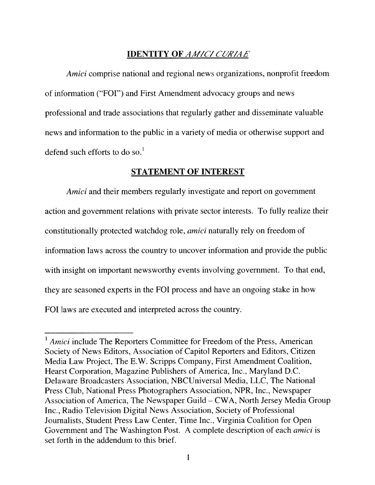### **IDENTITY OF AMICI CURIAE**

Amici comprise national and regional news organizations, nonprofit freedom of information ("FOE') and First Amendment advocacy groups and news professional and trade associations that regularly gather and disseminate valuable news and information to the public in a variety of media or otherwise support and defend such efforts to do so.'

#### STATEMENT OF INTEREST

Amici and their members regularly investigate and report on government action and government relations with private sector interests. To fully realize their constitutionally protected watchdog role, *amici* naturally rely on freedom of information laws across the country to uncover information and provide the public with insight on important newsworthy events involving government. To that end, they are seasoned experts in the FOl process and have an ongoing stake in how FOI laws are executed and interpreted across the country.

 $<sup>1</sup>$  Amici include The Reporters Committee for Freedom of the Press, American</sup> Society of News Editors, Association of Capitol Reporters and Editors, Citizen Media Law Project, The E.W. Scripps Company, First Amendment Coalition, Hearst Corporation. Magazine Publishers of America. Inc.. Maryland D.C. Delaware Broadcasters Association. NBCUniversal Media. LLC. The National Press Club, National Press Photographers Association. NPR, Inc., Newspaper Association of America, The Newspaper Guild — CWA, North Jersey Media Group Inc.. Radio Television Digital News Association, Society of Professional Journalists. Student Press Law Center, Time Inc., Virginia Coalition for Open Government and The Washington Post. A complete description of each amici is set forth in the addendum to this brief.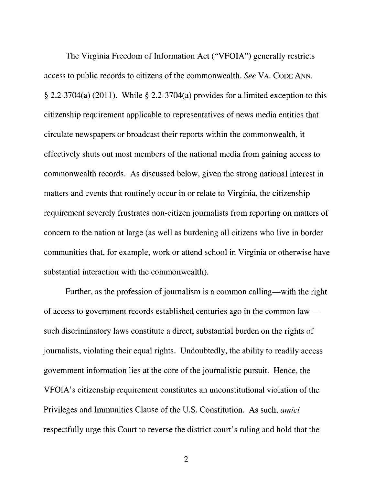The Virginia Freedom of Information Act ("VFOIA") generally restricts access to public records to citizens of the commonwealth. See VA. CoDE ANN.  $\S$  2.2-3704(a) (2011). While  $\S$  2.2-3704(a) provides for a limited exception to this citizenship requirement applicable to representatives of news media entities that circulate newspapers or broadcast their reports within the commonwealth, it effectively shuts out most members of the national media from gaining access to commonwealth records. As discussed below, given the strong national interest in matters and events that routinely occur in or relate to Virginia, the citizenship requirement severely frustrates non-citizen journalists from reporting on matters of concern to the nation at large (as well as burdening all citizens who live in border communities that, for example, work or attend school in Virginia or otherwise have substantial interaction with the commonwealth).

Further, as the profession of journalism is a common calling—with the right of access to government records established centuries ago in the common law such discriminatory laws constitute a direct, substantial burden on the rights of journalists, violating their equal rights. Undoubtedly, the ability to readily access government information lies at the core of the journalistic pursuit. Hence, the VFOIA's citizenship requirement constitutes an unconstitutional violation of the Privileges and Immunities Clause of the U.S. Constitution. As such, amici respectfully urge this Court to reverse the district court's ruling and hold that the

 $\overline{2}$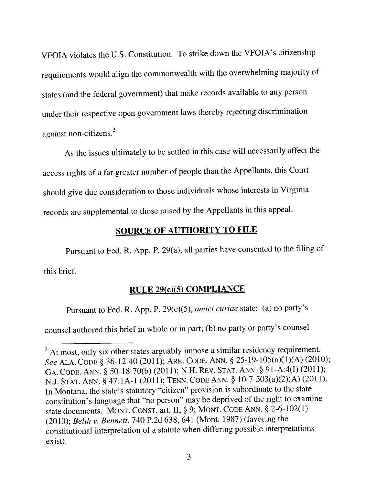VFOIA violates the U.S. Constitution. To strike down the VFOIA's citizenship requirements would align the commonwealth with the overwhelming majority of states (and the federal government) that make records available to any person under their respective open governmen<sup>t</sup> laws thereby rejecting discrimination against non-citizens. 2

As the issues ultimately to be settled in this case will necessarily affect the access rights of <sup>a</sup> far greater number of people than the Appellants, this Court should <sup>g</sup>ive due consideration to those individuals whose interests in Virginia records are supplemental to those raised by the Appellants in this appeal.

# SOURCE OF AUTHORITY TO FILE

Pursuant to Fed. R. App. P. 29(a), all parties have consented to the filing of this brief.

# RULE 29(c)(5) COMPLIANCE

Pursuant to Fed. R. App. P. 29(c)(5), amici curiae state: (a) no party's

counsel authored this brief in whole or in part; (b) no party or party's counsel

 $2<sup>2</sup>$  At most, only six other states arguably impose a similar residency requirement. See ALA. CODE § 36-12-40 (2011); ARK. CODE. ANN. § 25-19-105(a)(1)(A) (2010); GA. CoDE. ANN. § 50-18-70(b) (2011); N.H. REv. STAT. ANN. § 91-A:4(I) (2011); N.J. STAT. ANN. § 47:IA-1 (2011); TENN. CODE ANN. § 10-7-503(a)(2)(A) (2011). In Montana. the state's statutory "citizen" provision is subordinate to the state constitution's language that 'no person" may be deprived of the right to examine state documents. MONT. CONST. art. II, § 9; MONT. CODE ANN. § 2-6-102(1) (2010); Belth v. Bennett, 740 P.2d 638, 641 (Mont. 1987) (favoring the constitutional interpretation of <sup>a</sup> statute when differing possible interpretations exist).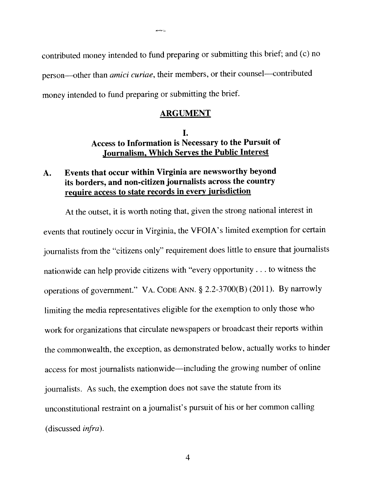contributed money intended to fund preparing or submitting this brief; and (c) no person—other than *amici curiae*, their members, or their counsel—contributed money intended to fund preparing or submitting the brief.

and and property of the

#### ARGUMENT

## I. Access to Information is Necessary to the Pursuit of Journalism, Which Serves the Public Interest

## A. Events that occur within Virginia are newsworthy beyond its borders, and non-citizen journalists across the country require access to state records in every jurisdiction

At the outset, it is worth noting that, <sup>g</sup>iven the strong national interest in events that routinely occur in Virginia, the VFOIA's limited exemption for certain journalists from the "citizens only" requirement does little to ensure that journalists nationwide can help provide citizens with "every opportunity. . . to witness the operations of government." VA. CODE ANN. § 2.2-3700(B) (201 1). By narrowly limiting the media representatives eligible for the exemption to only those who work for organizations that circulate newspapers or broadcast their reports within the commonwealth, the exception, as demonstrated below, actually works to hinder access for most journalists nationwide—including the growing number of online journalists. As such, the exemption does not save the statute from its unconstitutional restraint on <sup>a</sup> journalist's pursuit of his or her common calling (discussed infra).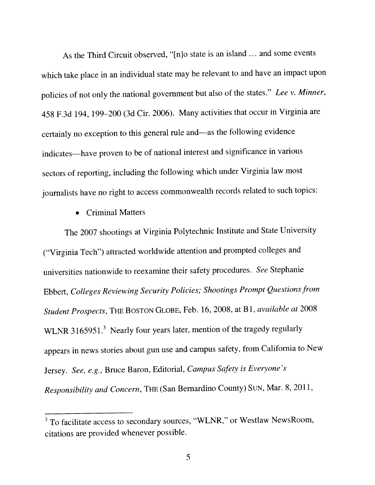As the Third Circuit observed. "{njo state is an island ... and some events which take <sup>p</sup>lace in an individual state may be relevant to and have an impact upon policies of not only the national government but also of the states." Lee v. Minner, <sup>458</sup> F.3d 194. 199—200 (3d Cir. 2006). Many activities that occur in Virginia are certainly no exception to this genera<sup>l</sup> rule and—as the following evidence indicates—have proven to be of national interest and significance in various sectors of reporting, including the following which under Virginia law most journalists have no right to access commonwealth records related to such topics:

• Criminal Matters

The <sup>2007</sup> shootings at Virginia Polytechnic Institute and State University ("Virginia Tech") attracted worldwide attention and prompted colleges and universities nationwide to reexamine their safety procedures. See Stephanie Ebbert, Colleges Reviewing Security Policies; Shootings Prompt Questionsfrom Student Prospects, THE BOSTON GLOBE, Feb. 16, 2008, at <sup>B</sup> 1, available at <sup>2008</sup> WLNR 3165951.<sup>3</sup> Nearly four years later, mention of the tragedy regularly appears in news stories about gun use and campus safety, from California to New Jersey. See, e.g., Bruce Baron, Editorial, campus Safety is Everyone's Responsibility and Concern. THE (San Bernardino County) SuN. Mar. 8. 2011,

<sup>&</sup>lt;sup>3</sup> To facilitate access to secondary sources, "WLNR," or Westlaw NewsRoom, citations are provided whenever possible.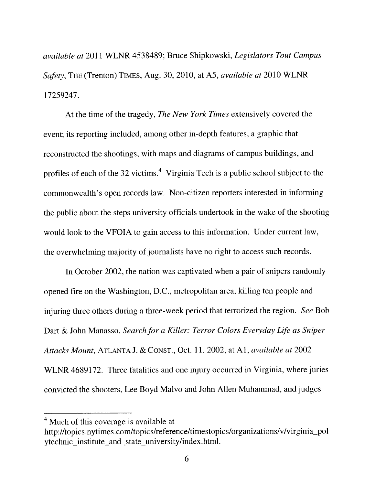available at 2011 WLNR 4538489; Bruce Shipkowski, Legislators Tout campus Safety, THE (Trenton) TIMES, Aug. 30, 2010, at A5, available at 2010 WLNR 17259247.

At the time of the tragedy, The New York Times extensively covered the event; its reporting included, among other in-depth features, a graphic that reconstructed the shootings, with maps and diagrams of campus buildings, and event; its reporting included, among other in-depth features, a graphic that<br>reconstructed the shootings, with maps and diagrams of campus buildings, and<br>profiles of each of the 32 victims.<sup>4</sup> Virginia Tech is a public sch commonwealth's open records law. Non-citizen reporters interested in informing the public about the steps university officials undertook in the wake of the shooting would look to the VFOIA to gain access to this information. Under current law, the overwhelming majority of journalists have no right to access such records.

In October 2002, the nation was captivated when a pair of snipers randomly opened fire on the Washington, D.C., metropolitan area, killing ten people and injuring three others during a three-week period that terrorized the region. See Bob Dart & John Manasso, Search for a Killer: Terror Colors Everyday Life as Sniper Attacks Mount, ATLANTA J. & C0NsT., Oct. 11, 2002, at Al, available at 2002 WLNR 4689172. Three fatalities and one injury occurred in Virginia, where juries convicted the shooters. Lee Boyd Malvo and John Allen Muhammad. and judges

<sup>&</sup>lt;sup>4</sup> Much of this coverage is available at

http://topics. nytirnes.com/topics/reference/timestopics/organizations/v/virginia\_pol ytechnic institute and state university/index .html.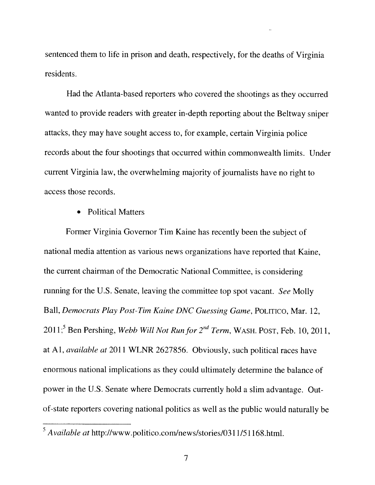sentenced them to life in prison and death, respectively, for the deaths of Virginia residents.

Had the Atlanta-based reporters who covered the shootings as they occurred wanted to provide readers with greater in-depth reporting about the Beltway sniper attacks, they may have sought access to. for example, certain Virginia police records about the four shootings that occurred within commonwealth limits. Under current Virginia law, the overwhelming majority of journalists have no right to access those records.

• Political Matters

Former Virginia Governor Tim Kaine has recently been the subject of national media attention as various news organizations have reported that Kaine, the current chairman of the Democratic National Committee, is considering running for the U.S. Senate, leaving the committee top spot vacant. See Molly Ball, Democrats Play Post-Tim Kaine DNC Guessing Game, POLITICO, Mar. 12, 2011;<sup>5</sup> Ben Pershing, Webb Will Not Run for  $2^{nd}$  Term, WASH. POST, Feb. 10, 2011, at Al, available at 2011 WLNR 2627856. Obviously, such political races have enormous national implications as they could ultimately determine the balance of power in the U.S. Senate where Democrats currently hold a slim advantage. Outof-state reporters covering national politics as well as the public would naturally be

 $<sup>5</sup>$  Available at http://www.politico.com/news/stories/0311/51168.html.</sup>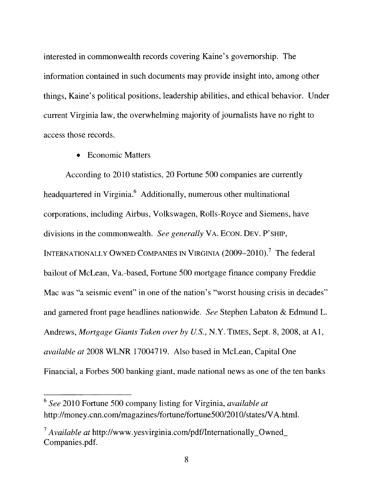interested in commonwealth records covering Kaine's governorship. The information contained in such documents may provide insight into, among other things, Kaine's political positions, leadership abilities, and ethical behavior. Under current Virginia law, the overwhelming majority of journalists have no right to access those records,

• Economic Matters

According to 2010 statistics, 20 Fortune 500 companies are currently headquartered in Virginia.<sup>6</sup> Additionally, numerous other multinational corporations, including Airbus, Volkswagen, Rolls-Royce and Siemens, have divisions in the commonwealth. See generally VA. ECON. DEV. P'SHIP, INTERNATIONALLY OWNED COMPANIES IN VIRGINIA (2009–2010).<sup>7</sup> The federal bailout of McLean, Va.-based, Fortune 500 mortgage finance company Freddie Mac was "a seismic event" in one of the nation's "worst housing crisis in decades" and garnered front page headlines nationwide. See Stephen Labaton & Edmund L. Andrews, Mortgage Giants Taken over by U.S., N.Y. TIMES, Sept. 8, 2008, at Al, available at 2008 WLNR 17004719. Also based in McLean, Capital One Financial, a Forbes 500 banking giant, made national news as one of the ten banks

<sup>&</sup>lt;sup>6</sup> See 2010 Fortune 500 company listing for Virginia, available at http://money.cnn.com/magazines/fortune/fortune500/2010/states/VA.html.

 $\alpha^7$  Available at http://www.yesvirginia.com/pdf/Internationally\_Owned\_ Companies.pdf.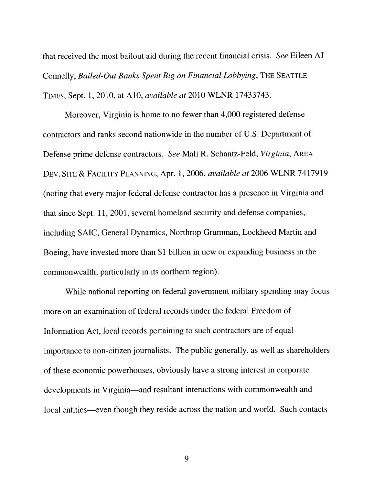that received the most bailout aid during the recent financial crisis. See Eileen AJ Connelly, Bailed-Out Banks Spent Big on Financial Lobbying, THE SEATTLE TIMEs, Sept. 1,2010, at Ai0, available at 2010 WLNR 17433743.

Moreover, Virginia is home to no fewer than 4,000 registered defense contractors and ranks second nationwide in the number of U.S. Department of Defense prime defense contractors. See Mali R. Schantz-Feld, Virginia, AREA DEv. SITE & FACILITY PLANNING, Apr. 1, 2006, available at 2006 WLNR 7417919 (noting that every major federal defense contractor has a presence in Virginia and that since Sept. 11, 2001, several homeland security and defense companies, including SAIC, General Dynamics, Northrop Grumman, Lockheed Martin and Boeing, have invested more than \$1 billion in new or expanding business in the commonwealth, particularly in its northern region).

While national reporting on federal government military spending may focus more on an examination of federal records under the federal Freedom of Information Act, local records pertaining to such contractors are of equal importance to non-citizen journalists. The public generally, as well as shareholders of these economic powerhouses, obviously have a strong interest in corporate developments in Virginia—and resultant interactions with commonwealth and local entities—even though they reside across the nation and world. Such contacts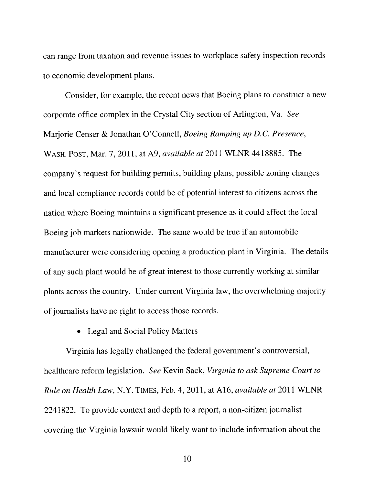can range from taxation and revenue issues to workplace safety inspection records to economic development plans.

Consider, for example, the recent news that Boeing plans to construct a new corporate office complex in the Crystal City section of Arlington, Va. See Marjorie Censer & Jonathan O'Connell, Boeing Ramping up D.C. Presence, WASH. POST, Mar. 7, 2011, at A9, *available at* 2011 WLNR 4418885. The company's request for building permits, building plans, possible zoning changes and local compliance records could be of potential interest to citizens across the nation where Boeing maintains a significant presence as it could affect the local Boeing job markets nationwide. The same would be true if an automobile manufacturer were considering opening a production plant in Virginia. The details of any such plant would be of great interest to those currently working at similar plants across the country. Under current Virginia law, the overwhelming majority of journalists have no right to access those records.

#### • Legal and Social Policy Matters

Virginia has legally challenged the federal government's controversial, healthcare reform legislation. See Kevin Sack, Virginia to ask Supreme Court to Rule on Health Law, N.Y. TIMES, Feb. 4,2011, at A16, available at 2011 WLNR 2241822. To provide context and depth to a report. a non-citizen journalist covering the Virginia lawsuit would likely want to include information about the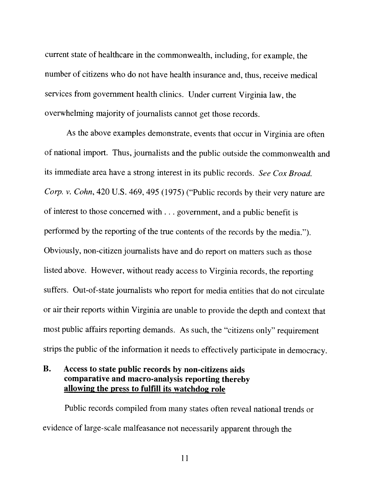current state of healthcare in the commonwealth, including, for example. the number of citizens who do not have health insurance and, thus, receive medical services trom government health clinics. Under current Virginia law, the overwhelming majority of journalists cannot get those records.

As the above examples demonstrate, events that occur in Virginia are often of national import. Thus, journalists and the public outside the commonwealth and its immediate area have a strong interest in its public records. See Cox Broad. Corp. v. Cohn, 420 U.S. 469, 495 (1975) ("Public records by their very nature are of interest to those concerned with. . . government, and <sup>a</sup> public benefit is performed by the reporting of the true contents of the records by the media."). Obviously, non-citizen journalists have and do report on matters such as those listed above. However, without ready access to Virginia records, the reporting suffers. Out-of-state journalists who report for media entities that do not circulate or air their reports within Virginia are unable to provide the depth and context that most public affairs reporting demands. As such, the "citizens only" requirement strips the public of the information it needs to effectively participate in democracy.

## B. Access to state public records by non-citizens aids comparative and macro-analysis reporting thereby allowing the press to fulfill its watchdog role

Public records compiled from many states often reveal national trends or evidence of large—scale malfeasance not necessarily apparent through the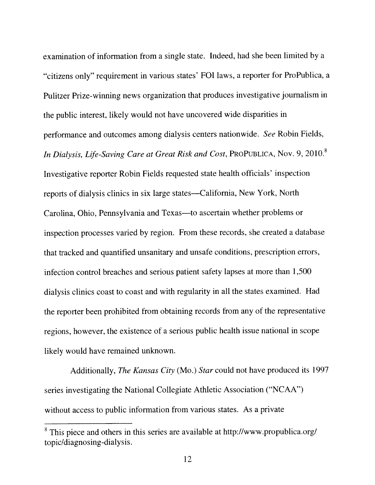examination of information from <sup>a</sup> single state. Indeed, had she been limited by <sup>a</sup> "citizens only" requirement in various states' FOl laws, <sup>a</sup> reporter for ProPublica. <sup>a</sup> Pulitzer Prize-winning news organization that produces investigative journalism in the public interest, likely would not have uncovered wide disparities in performance and outcomes among dialysis centers nationwide. See Robin Fields, In Dialysis, Life-Saving Care at Great Risk and Cost, PROPUBLICA, Nov. 9, 2010.<sup>8</sup> Investigative reporter Robin Fields requested state health officials' inspection reports of dialysis clinics in six large states—California, New York, North Carolina, Ohio, Pennsylvania and Texas—to ascertain whether problems or inspection processes varied by region. From these records, she created <sup>a</sup> database that tracked and quantified unsanitary and unsafe conditions, prescription errors, infection control breaches and serious patient safety lapses at more than 1,500 dialysis clinics coast to coast and with regularity in all the states examined. Had the reporter been prohibited from obtaining records from any of the representative regions, however, the existence of <sup>a</sup> serious public health issue national in scope likely would have remained unknown.

Additionally. The Kansas City (Mo.) Star could not have produced its <sup>1997</sup> series investigating the National Collegiate Athletic Association ("NCAA") without access to public information from various states. As a private

This piece and others in this series are available at http://www.propublica.org/ topic/diagnosing-dialysis.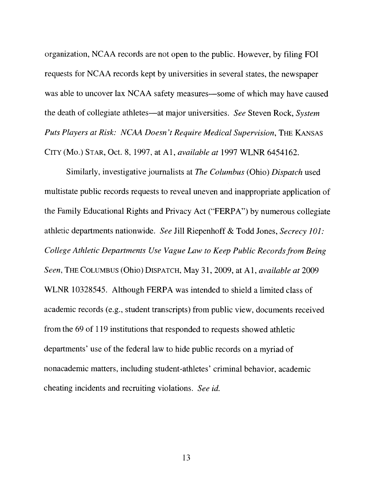organization. NCAA records are not open to the public. However, by filing FOT requests for NCAA records kept by universities in several states, the newspaper was able to uncover lax NCAA safety measures—some of which may have caused the death of collegiate athletes—at major universities. See Steven Rock, System Puts Players at Risk: NCAA Doesn't Require Medical Supervision, THE KANSAS CITY (Mo.) STAR, Oct. 8, 1997, at Al, available at 1997 WLNR 6454162.

Similarly, investigative journalists at The Columbus (Ohio) Dispatch used multistate public records requests to reveal uneven and inappropriate application of the Family Educational Rights and Privacy Act ("FERPA") by numerous collegiate athletic departments nationwide. See Jill Riepenhoff & Todd Jones, Secrecy 10]: College Athletic Departments Use Vague Law to Keep Public Records from Being Seen, THE COLUMBUS (Ohio) DISPATCH, May 31, 2009, at A1, available at 2009 WLNR 10328545. Although FERPA was intended to shield a limited class of academic records (e.g., student transcripts) from public view, documents received from the 69 of 119 institutions that responded to requests showed athletic departments' use of the federal law to hide public records on a myriad of nonacademic matters, including student-athletes' criminal behavior, academic cheating incidents and recruiting violations. See id.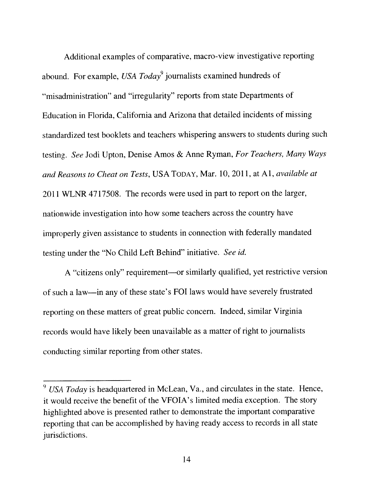Additional examples of comparative, macro-view investigative reporting abound. For example, USA  $Today<sup>9</sup>$  journalists examined hundreds of "misadministration" and "irregularity" reports from state Departments of Education in Florida, California and Arizona that detailed incidents of missing standardized test booklets and teachers whispering answers to students during such testing. See Jodi Upton, Denise Amos & Anne Ryman, For Teachers, Many Ways and Reasons to Cheat on Tests, USA TODAY, Mar. 10, 2011, at Al, available at 2011 WLNR 4717508. The records were used in par<sup>t</sup> to repor<sup>t</sup> on the larger, nationwide investigation into how some teachers across the country have improperly <sup>g</sup>iven assistance to students in connection with federally mandated testing under the "No Child Left Behind" initiative. See id.

<sup>A</sup> "citizens only" requirement—or similarly qualified, ye<sup>t</sup> restrictive version of such <sup>a</sup> law—in any of these state's FOl laws would have severely frustrated reporting on these matters of grea<sup>t</sup> public concern. Indeed, similar Virginia records would have likely been unavailable as <sup>a</sup> matter of right to journalists conducting similar reporting from other states.

 $9$  USA Today is headquartered in McLean, Va., and circulates in the state. Hence, it would receive the benefit of the VFOIA's limited media exception. The story highlighted above is presented rather to demonstrate the important comparative reporting that can he accomplished by having ready access to records in all state jurisdictions.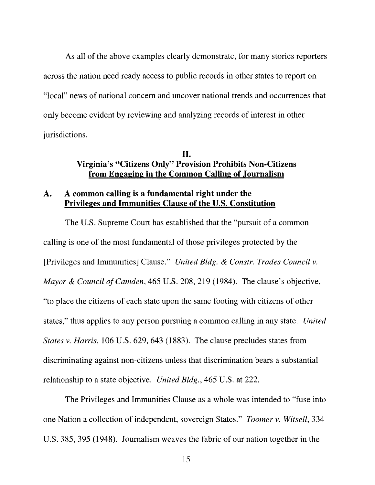As all of the above examples clearly demonstrate, for many stories reporters across the nation need ready access to public records in other states to report on "local" news of national concern and uncover national trends and occurrences that only become evident by reviewing and analyzing records of interest in other jurisdictions.

### II. Virginia's "Citizens Only" Provision Prohibits Non-Citizens from Engaging in the Common Calling of Journalism

## A. A common calling is a fundamental right under the Privileges and Immunities Clause of the U.S. Constitution

The U.S. Supreme Court has established that the "pursuit of a common calling is one of the most fundamental of those privileges protected by the [Privileges and Immunitiesj Clause." United Bldg. & Constr. Trades Council v. Mayor & Council of Camden, 465 U.S. 208, 219 (1984). The clause's objective, "to place the citizens of each state upon the same footing with citizens of other states," thus applies to any person pursuing a common calling in any state. United States v. Harris, 106 U.S. 629, 643 (1883). The clause precludes states from discriminating against non-citizens unless that discrimination bears a substantial relationship to a state objective. United Bldg., 465 U.S. at 222.

The Privileges and Immunities Clause as a whole was intended to "fuse into one Nation a collection of independent, sovereign States." Toomer v. Witsell, 334 U.S. 385, 395 (1948). Journalism weaves the fabric of our nation together in the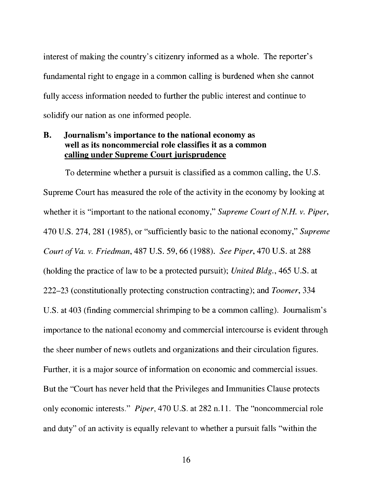interest of making the country's citizenry informed as a whole. The reporter's fundamental right to engage in a common calling is burdened when she cannot fully access information needed to further the public interest and continue to solidify our nation as one informed people.

## B. Journalism's importance to the national economy as well as its noncommercial role classifies it as a common calling under Supreme Court jurisprudence

To determine whether a pursuit is classified as a common calling, the U.S. Supreme Court has measured the role of the activity in the economy by looking at whether it is "important to the national economy," Supreme Court of N.H. v. Piper, 470 U.S. 274, 281 (1985), or "sufficiently basic to the national economy," Supreme Court of Va. v. Friedman, 487 U.S. 59, 66 (1988). See Piper, 470 U.S. at 288 (holding the practice of law to be a protected pursuit); United Bldg., 465 U.S. at 222—23 (constitutionally protecting construction contracting); and Toomer, 334 U.S. at 403 (finding commercial shrimping to be a common calling). Journalism's importance to the national economy and commercial intercourse is evident through the sheer number of news outlets and organizations and their circulation figures. Further, it is a major source of information on economic and commercial issues. But the "Court has never held that the Privileges and Immunities Clause protects only economic interests." Piper. 470 U.S. at 282 n. 11. The "noncommercial role and duty" of an activity is equally relevant to whether a pursuit falls "within the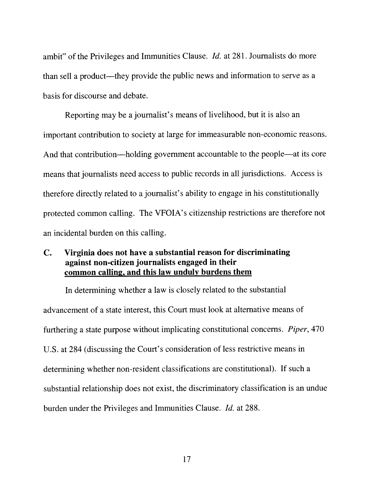ambit" of the Privileges and Immunities Clause. Id. at 281. Journalists do more than sell a product—they provide the public news and information to serve as a basis for discourse and debate.

Reporting may be a journalist's means of livelihood, but it is also an important contribution to society at large for immeasurable non-economic reasons. And that contribution—holding government accountable to the people—at its core means that journalists need access to public records in all jurisdictions. Access is therefore directly related to a journalist's ability to engage in his constitutionally protected common calling. The VFOIA's citizenship restrictions are therefore not an incidental burden on this calling.

### C. Virginia does not have a substantial reason for discriminating against non-citizen journalists engaged in their common calling, and this law unduly burdens them

In determining whether a law is closely related to the substantial advancement of a state interest, this Court must look at alternative means of furthering a state purpose without implicating constitutional concerns. Piper, 470 U.S. at 284 (discussing the Court's consideration of less restrictive means in determining whether non-resident classifications are constitutional). If such a substantial relationship does not exist, the discriminatory classification is an undue burden under the Privileges and Immunities Clause. Id. at 288.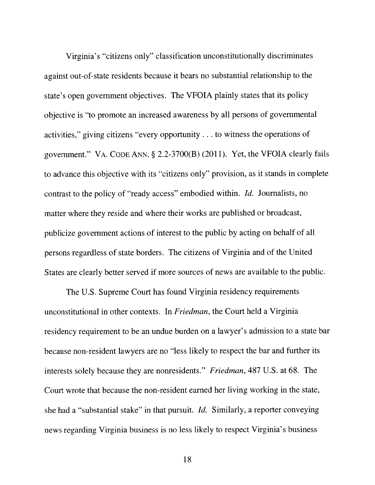Virginia's "citizens only" classification unconstitutionally discriminates against out-of-state residents because it bears no substantial relationship to the state's open government objectives. The VFOIA plainly states that its policy objective is "to promote an increased awareness by all persons of governmental activities," giving citizens "every opportunity. . . to witness the operations of government." VA. CODE ANN. § 2,2-3700(B) (2011). Yet, the VFOIA clearly fails to advance this objective with its "citizens only" provision, as it stands in complete contrast to the policy of "ready access" embodied within. Id. Journalists, no matter where they reside and where their works are published or broadcast, publicize government actions of interest to the public by acting on behalf of all persons regardless of state borders. The citizens of Virginia and of the United States are clearly better served if more sources of news are available to the public.

The U.S. Supreme Court has found Virginia residency requirements unconstitutional in other contexts. In Friedman, the Court held a Virginia residency requirement to be an undue burden on a lawyer's admission to a state bar because non-resident lawyers are no "less likely to respect the bar and further its interests solely because they are nonresidents." Friedman, 487 U.S. at 68. The Court wrote that because the non-resident earned her living working in the state, she had a "substantial stake" in that pursuit. Id. Similarly, a reporter conveying news regarding Virginia business is no less likely to respect Virginia's business

18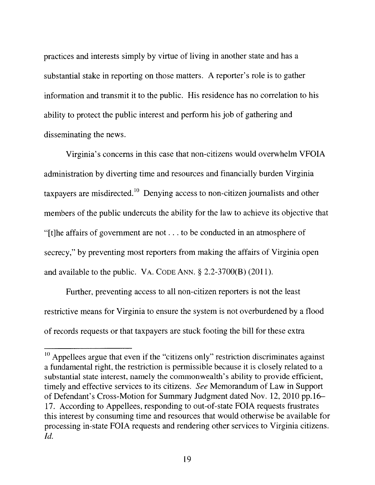practices and interests simply by virtue of living in another state and has a substantial stake in reporting on those matters. A reporter's role is to gather information and transmit it to the public. His residence has no correlation to his ability to protect the public interest and perform his job of gathering and disseminating the news.

Virginia's concerns in this case that non-citizens would overwhelm VFOIA administration by diverting time and resources and financially burden Virginia taxpayers are misdirected.<sup>10</sup> Denying access to non-citizen journalists and other members of the public undercuts the ability for the law to achieve its objective that "[tjhe affairs of government are not. . . to be conducted in an atmosphere of secrecy," by preventing most reporters from making the affairs of Virginia open and available to the public. VA. CODE ANN. § 2.2-3700(B) (2011).

Further, preventing access to all non-citizen reporters is not the least restrictive means for Virginia to ensure the system is not overburdened by a flood of records requests or that taxpayers are stuck footing the bill for these extra

 $10$  Appellees argue that even if the "citizens only" restriction discriminates against a fundamental right, the restriction is permissible because it is closely related to a substantial state interest, namely the commonwealth's ability to provide efficient, timely and effective services to its citizens. See Memorandum of Law in Support of Defendant's Cross-Motion for Summary Judgment dated Nov. 12, 2010 pp.16— 17. According to Appellees, responding to out-of-state FOIA requests frustrates this interest by consuming time and resources that would otherwise be available for processing in-state FOIA requests and rendering other services to Virginia citizens. Id.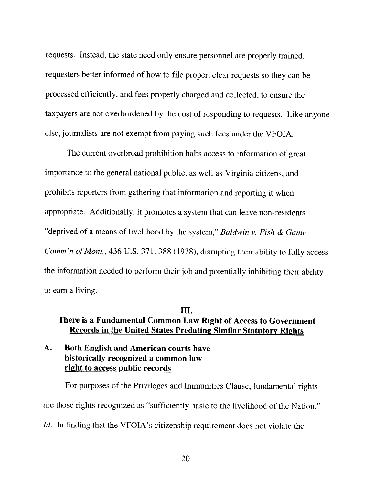requests. Instead, the state need only ensure personnel are properly trained, requesters better informed of how to file proper, clear requests so they can be processed efficiently. and fees properly charged and collected, to ensure the taxpayers are not overburdened by the cost of responding to requests. Like anyone else, journalists are not exempt from paying such fees under the VFOIA.

The current overbroad prohibition halts access to information of great importance to the general national public, as well as Virginia citizens, and prohibits reporters from gathering that information and reporting it when appropriate. Additionally, it promotes <sup>a</sup> system that can leave non-residents "deprived of a means of livelihood by the system," Baldwin v. Fish & Game Comm'n of Mont., 436 U.S. 371, 388 (1978), disrupting their ability to fully access the information needed to perform their job and potentially inhibiting their ability to earn <sup>a</sup> living.

#### IlL

## There is <sup>a</sup> Fundamental Common Law Right of Access to Government Records in the United States Predating Similar Statutory Rights

## A. Both English and American courts have historically recognized a common law right to access public records

For purposes of the Privileges and Immunities Clause. fundamental rights are those rights recognized as "sufficiently basic to the livelihood of the Nation."  $Id.$  In finding that the VFOIA's citizenship requirement does not violate the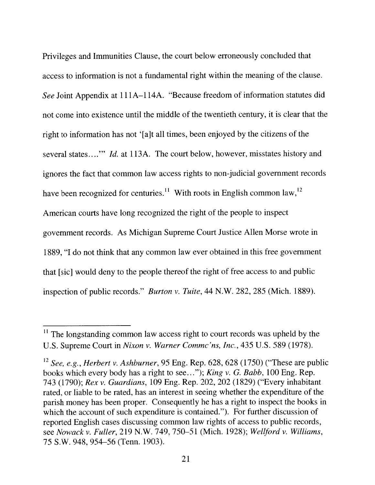Privileges and Immunities Clause, the court below erroneously concluded that access to information is not a fundamental right within the meaning of the clause. See Joint Appendix at <sup>11</sup> 1A—l 14A. "Because freedom of information statutes did not come into existence until the middle of the twentieth century. it is clear that the right to information has not '[a]t all times, been enjoyed by the citizens of the several states...." *Id.* at 113A. The court below, however, misstates history and ignores the fact that common law access rights to non-judicial government records have been recognized for centuries.<sup>11</sup> With roots in English common law,  $12$ American courts have long recognized the right of the people to inspect government records. As Michigan Supreme Court Justice Allen Morse wrote in 1889, "I do not think that any common law ever obtained in this free government that [sic] would deny to the people thereof the right of free access to and public inspection of public records." Burton v. Tuite, 44 N.W. 282, 285 (Mich. 1889).

 $<sup>11</sup>$  The longstanding common law access right to court records was upheld by the</sup> U.S. Supreme Court in Nixon v. Warner Commc'ns, Inc., 435 U.S. 589 (1978).

<sup>&</sup>lt;sup>12</sup> See, e.g., Herbert v. Ashburner, 95 Eng. Rep. 628, 628 (1750) ("These are public books which every body has a right to see..."): King v. G. Babb, 100 Eng. Rep. 743 (1790): Rex v. Guardians, 109 Eng. Rep. 202, 202 (1829) ("Every inhabitant rated, or liable to be rated, has an interest in seeing whether the expenditure of the parish money has been proper. Consequently he has a right to inspect the books in which the account of such expenditure is contained."). For further discussion of reported English cases discussing common law rights of access to public records, see Nowack v. Fuller, 219 N.W. 749, 750–51 (Mich. 1928); Wellford v. Williams, 75 S.W. 948. 954—56 (Tenn. 1903).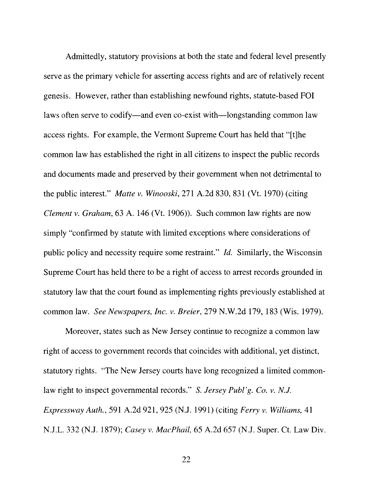Admittedly, statutory provisions at both the state and federal level presently serve as the primary vehicle for asserting access rights and are of relatively recent genesis. However, rather than establishing newfound rights, statute-based FOl laws often serve to codify—and even co-exist with—longstanding common law access rights. For example, the Vermont Supreme Court has held that "[t]he common law has established the right in all citizens to inspect the public records and documents made and preserved by their government when not detrimental to the public interest." Matte v. Winooski, 271 A.2d 830, 831 (Vt. 1970) (citing Clement v. Graham, 63 A. 146 (Vt. 1906)). Such common law rights are now simply "confirmed by statute with limited exceptions where considerations of public policy and necessity require some restraint." Id. Similarly, the Wisconsin Supreme Court has held there to be a right of access to arrest records grounded in statutory law that the court found as implementing rights previously established at common law. See Newspapers, Inc. v. Breier, 279 N.W.2d 179, 183 (Wis. 1979).

Moreover, states such as New Jersey continue to recognize a common law right of access to government records that coincides with additional, yet distinct, statutory rights. "The New Jersey courts have long recognized a limited common law right to inspect governmental records." S. Jersey Publ'g. Co. v, N.J. Expressway Auth., 591 A.2d 921, 925 (N.J. 1991) (citing Ferry v. Williams, 41 N.J.L, 332 (N.J. 1879); Casey v. MacPhail, 65 A.2d 657 (N.J. Super. Ct, Law Div.

22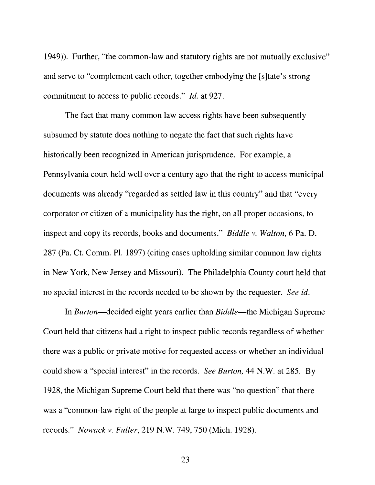1949)). Further, "the common-law and statutory rights are not mutually exclusive" and serve to "complement each other, together embodying the [s]tate's strong commitment to access to public records." Id, at 927.

The fact that many common law access rights have been subsequently subsumed by statute does nothing to negate the fact that such rights have historically been recognized in American jurisprudence. For example, a Pennsylvania court held well over a century ago that the right to access municipal documents was already "regarded as settled law in this country" and that "every corporator or citizen of a municipality has the right, on all proper occasions, to inspect and copy its records, books and documents." Biddle v. Walton, 6 Pa. D. 287 (Pa. Ct. Comm. P1. 1897) (citing cases upholding similar common law rights in New York, New Jersey and Missouri). The Philadelphia County court held that no special interest in the records needed to be shown by the requester. See id.

In Burton—decided eight years earlier than Biddle—the Michigan Supreme Court held that citizens had a right to inspect public records regardless of whether there was a public or private motive for requested access or whether an individual could show a "special interest" in the records. See Burton, 44 N.W. at 285. By 1928, the Michigan Supreme Court held that there was "no question" that there was a "common-law right of the people at large to inspect public documents and records," Nowack v. Fuller, 219 N.W. 749, 750 (Mich. 1928).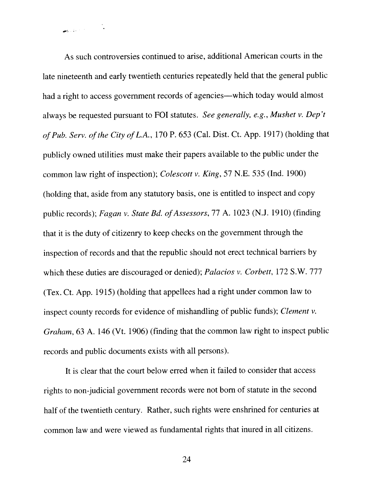As such controversies continued to arise, additional American courts in the late nineteenth and early twentieth centuries repeatedly held that the genera<sup>l</sup> public had <sup>a</sup> right to access governmen<sup>t</sup> records of agencies—which today would almost always be requested pursuant to FOI statutes. See generally, e.g., Mushet v. Dep't of Pub. Serv. of the City of L.A., 170 P. 653 (Cal. Dist. Ct. App. 1917) (holding that publicly owned utilities must make their papers available to the public under the common law right of inspection); Colescott v. King, 57 N.E. 535 (Ind. 1900) (holding that, aside from any statutory basis, one is entitled to inspect and copy public records); Fagan v. State Bd. of Assessors, 77 A. 1023 (N.J. 1910) (finding that it is the duty of citizenry to keep checks on the governmen<sup>t</sup> through the inspection of records and that the republic should not erect technical barriers by which these duties are discouraged or denied); Palacios v. Corbett, 172 S.W. 777 (Tex. Ct. App. 1915) (holding that appellees had <sup>a</sup> right under common law to inspect county records for evidence of mishandling of public funds); Clement v. Graham, 63 A. 146 (Vt. 1906) (finding that the common law right to inspect public records and public documents exists with all persons).

It is clear that the court below erred when it failed to consider that access rights to non-judicial governmen<sup>t</sup> records were not born of statute in the second half of the twentieth century. Rather, such rights were enshrined for centuries at common law and were viewed as fundamental rights that inured in all citizens.

24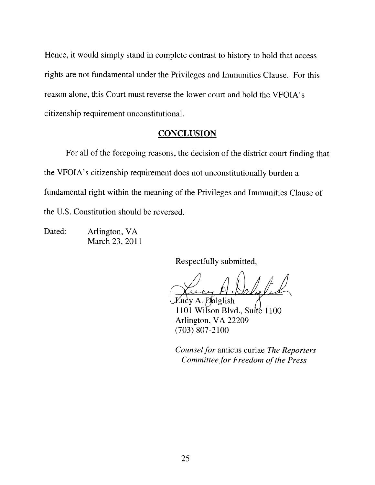Hence, it would simply stand in complete contrast to history to hold that access rights are not fundamental under the Privileges and Immunities Clause. For this reason alone, this Court must reverse the lower court and hold the VFOIA's citizenship requirement unconstitutional.

### **CONCLUSION**

For all of the foregoing reasons, the decision of the district court finding that the VFOIA's citizenship requirement does not unconstitutionally burden a fundamental right within the meaning of the Privileges and Immunities Clause of the U.S. Constitution should be reversed.

Dated: Arlington, VA March 23, 2011

Respectfully submitted,

/1 /)1  $\sqrt{d}$ 

A. Dalglish 1101 Wilson Blvd., Suite 1100 Arlington, VA 22209 (703) 807-2100

Counsel for amicus curiae The Reporters Committee for Freedom of the Press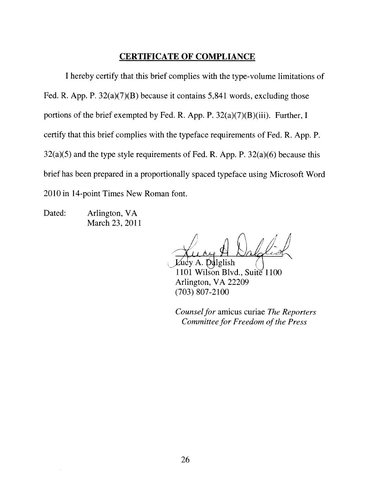## CERTIFICATE OF COMPLIANCE

<sup>1</sup> hereby certify that this brief complies with the type-volume limitations of Fed. R. App. P. 32(a)(7)(B) because it contains 5,841 words, excluding those portions of the brief exempted by Fed. R. App. P. 32(a)(7)(B)(iii). Further, <sup>I</sup> certify that this brief complies with the typeface requirements of Fed. R, App. P.  $32(a)(5)$  and the type style requirements of Fed. R. App. P.  $32(a)(6)$  because this brief has been prepared in a proportionally spaced typeface using Microsoft Word 2010 in 14-point Times New Roman font.

Dated: Arlington, VA March 23, 2011

/ I

glish 1101 Wilson Blvd., Suite 1100 Arlington, VA 22209 (703) 807-2100

Counsel for amicus curiae The Reporters Committee for Freedom of the Press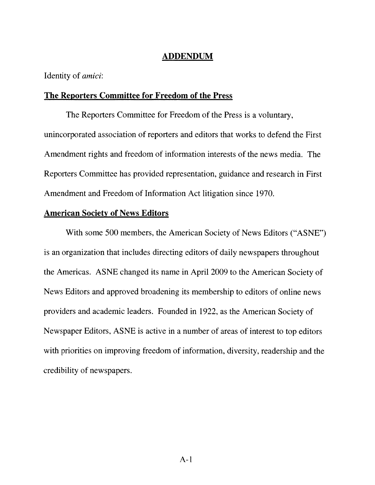## ADDENDUM

Identity of *amici*:

### The Reporters Committee for Freedom of the Press

The Reporters Committee for Freedom of the Press is a voluntary, unincorporated association of reporters and editors that works to defend the First Amendment rights and freedom of information interests of the news media. The Reporters Committee has provided representation, guidance and research in First Amendment and Freedom of Information Act litigation since 1970.

### American Society of News Editors

With some 500 members, the American Society of News Editors ("ASNE") is an organization that includes directing editors of daily newspapers throughout the Americas. ASNE changed its name in April 2009 to the American Society of News Editors and approved broadening its membership to editors of online news providers and academic leaders. Founded in 1922, as the American Society of Newspaper Editors, ASNE is active in a number of areas of interest to top editors with priorities on improving freedom of information, diversity, readership and the credibility of newspapers.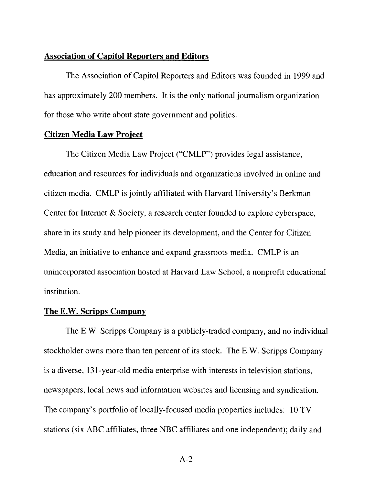#### Association of Capitol Reporters and Editors

The Association of Capitol Reporters and Editors was founded in 1999 and has approximately 200 members. It is the only national journalism organization for those who write about state government and politics.

#### Citizen Media Law Project

The Citizen Media Law Project ('CMLP") provides legal assistance, education and resources for individuals and organizations involved in online and citizen media. CMLP is jointly affiliated with Harvard University's Berkrnan Center for Internet & Society, a research center founded to explore cyberspace, share in its study and help pioneer its development, and the Center for Citizen Media, an initiative to enhance and expand grassroots media. CMLP is an unincorporated association hosted at Harvard Law School, a nonprofit educational institution.

#### The E.W. Scripps Company

The E.W. Scripps Company is a publicly-traded company, and no individual stockholder owns more than ten percent of its stock. The E.W, Scripps Company is a diverse, 131-year-old media enterprise with interests in television stations, newspapers. local news and information websites and licensing and syndication. The company's portfolio of locally-focused media properties includes: 10 TV stations (six ABC affiliates, three NBC affiliates and one independent): daily and

A-2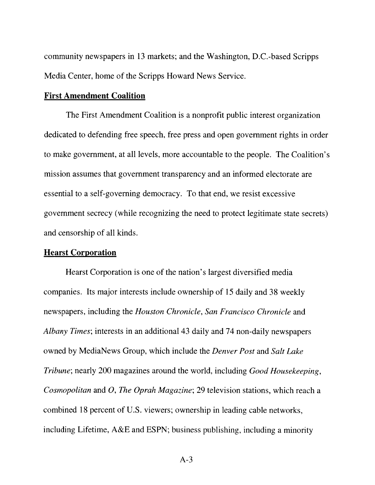community newspapers in <sup>13</sup> markets; and the Washington, DC.-based Scripps Media Center, home of the Scripps Howard News Service.

#### First Amendment Coalition

The First Amendment Coalition is a nonprofit public interest organization dedicated to defending free speech. free press and open government rights in order to make government, at all levels, more accountable to the people. The Coalition's mission assumes that government transparency and an informed electorate are essential to a self-governing democracy. To that end, we resist excessive government secrecy (while recognizing the need to protect legitimate state secrets) and censorship of all kinds.

#### Hearst Corporation

Hearst Corporation is one of the nation's largest diversified media companies. Its major interests include ownership of 15 daily and 38 weekly newspapers, including the Houston Chronicle, San Francisco Chronicle and Albany Times; interests in an additional 43 daily and 74 non-daily newspapers owned by MediaNews Group. which include the Denver Post and Salt Lake Tribune; nearly 200 magazines around the world, including Good Housekeeping, Cosmopolitan and O, The Oprah Magazine; 29 television stations, which reach a combined 18 percent of U.S. viewers; ownership in leading cable networks. including Lifetime. A&E and ESPN; business publishing, including a minority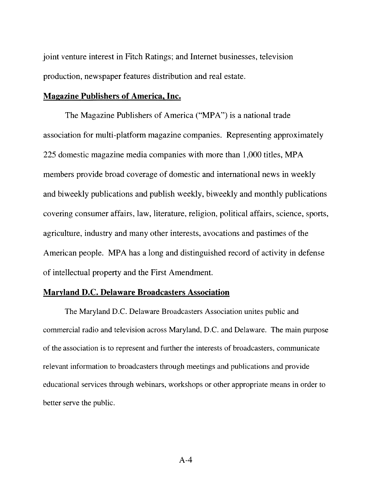joint venture interest in Fitch Ratings; and Internet businesses, television production, newspaper features distribution and real estate.

#### Magazine Publishers of America. Inc.

The Magazine Publishers of America ("MPA") is a national trade association for multi-platform magazine companies. Representing approximately 225 domestic magazine media companies with more than 1,000 titles, MPA members provide broad coverage of domestic and international news in weekly and biweekly publications and publish weekly, biweekly and monthly publications covering consumer affairs, law, literature, religion, political affairs, science, sports, agriculture, industry and many other interests, avocations and pastimes of the American people. MPA has a long and distinguished record of activity in defense of intellectual property and the First Amendment.

#### Maryland D.C. Delaware Broadcasters Association

The Maryland D.C. Delaware Broadcasters Association unites public and commercial radio and television across Maryland, D.C. and Delaware. The main purpose of the association is to represent and further the interests of broadcasters, communicate relevant information to broadcasters through meetings and publications and provide educational services through webinars, workshops or other appropriate means in order to better serve the public.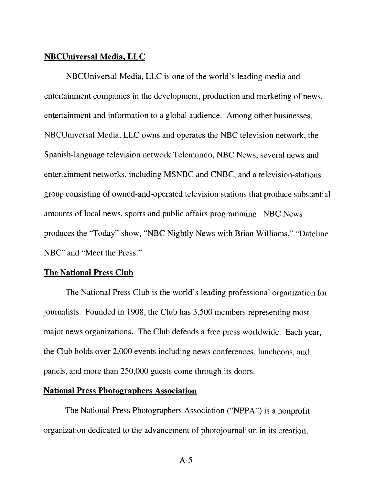#### NBCUniversal Media, LLC

NBCUniversal Media. LLC is one of the world's leading media and entertainment companies in the development, production and marketing of news. entertainment and information to a global audience. Among other businesses, NBCUniversal Media, LLC owns and operates the NBC television network, the Spanish-language television network Telemundo, NBC News, several news and entertainment networks, including MSNBC and CNBC, and a television-stations group consisting of owned-and-operated television stations that produce substantial amounts of local news, sports and public affairs programming. NBC News produces the "Today" show, "NBC Nightly News with Brian Williams," "Dateline NBC" and "Meet the Press."

#### The National Press Club

The National Press Club is the world's leading professional organization for journalists. Founded in 1908, the Club has 3,500 members representing most major news organizations. The Club defends a free press worldwide. Each year, the Club holds over 2,000 events including news conferences, luncheons, and panels, and more than 250,000 guests come through its doors.

#### National Press Photographers Association

The National Press Photographers Association ("NPPA') is a nonprofit organization dedicated to the advancement of photojournalism in its creation.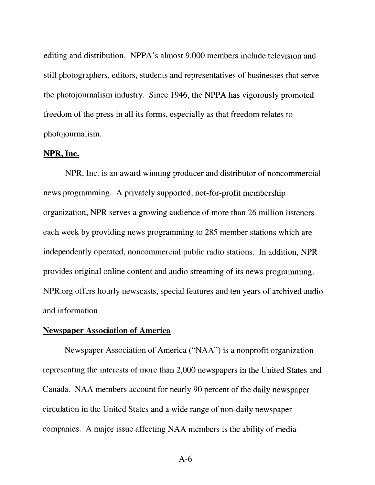editing and distribution. NPPA's almost 9,000 members include television and still photographers, editors, students and representatives of businesses that serve the photojournalism industry. Since 1946. the NPPA has vigorously promoted freedom of the press in all its forms, especially as that freedom relates to photojournalism.

#### NPR, Inc.

NPR, Inc. is an award winning producer and distributor of noncommercial news programming. A privately supported, not-for-profit membership organization, NPR serves a growing audience of more than 26 million listeners each week by providing news programming to 285 member stations which are independently operated, noncommercial public radio stations. In addition, NPR provides original online content and audio streaming of its news programming. NPR.org offers hourly newscasts, special features and ten years of archived audio and information.

## Newspaper Association of America

Newspaper Association of America ("NAA") is a nonprofit organization representing the interests of more than 2,000 newspapers in the United States and Canada. NAA members account for nearly 90 percent of the daily newspaper circulation in the United States and a wide range of non-daily newspaper companies. A major issue affecting NAA members is the ability of media

A-6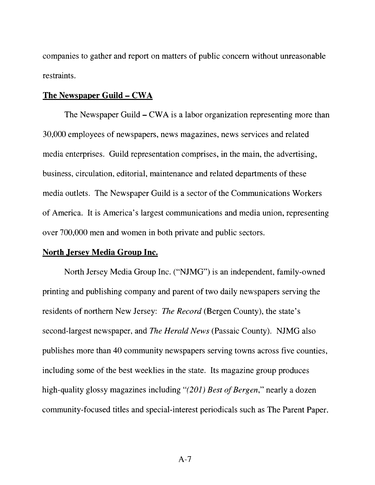companies to gather and report on matters of public concern without unreasonable restraints,

#### The Newspaper Guild — CWA

The Newspaper Guild — CWA is a labor organization representing more than 30,000 employees of newspapers, news magazines, news services and related media enterprises. Guild representation comprises, in the main, the advertising, business, circulation, editorial, maintenance and related departments of these media outlets. The Newspaper Guild is a sector of the Communications Workers of America. It is America's largest communications and media union, representing over 700,000 men and women in both private and public sectors.

#### North Jersey Media Group Inc.

North Jersey Media Group Inc. ("NJMG") is an independent, family-owned printing and publishing company and parent of two daily newspapers serving the residents of northern New Jersey: The Record (Bergen County), the state's second-largest newspaper, and The Herald News (Passaic County). NJMG also publishes more than 40 community newspapers serving towns across five counties, including some of the best weeklies in the state. Its magazine group produces high-quality glossy magazines including "(201) Best of Bergen," nearly a dozen community-focused titles and special-interest periodicals such as The Parent Paper.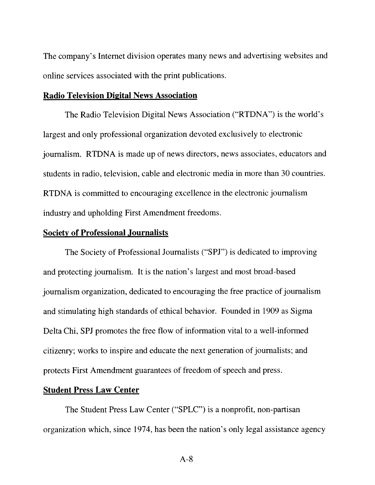The company's Internet division operates many news and advertising websites and online services associated with the print publications.

#### Radio Television Digital News Association

The Radio Television Digital News Association ("RTDNA") is the world's largest and only professional organization devoted exclusively to electronic journalism. RTDNA is made up of news directors, news associates, educators and students in radio, television, cable and electronic media in more than 30 countries. RTDNA is committed to encouraging excellence in the electronic journalism industry and upholding First Amendment freedoms.

#### Society of Professional Journalists

The Society of Professional Journalists ('SPJ") is dedicated to improving and protecting journalism. It is the nation's largest and most broad-based journalism organization, dedicated to encouraging the free practice of journalism and stimulating high standards of ethical behavior. Founded in 1909 as Sigma Delta Chi, SPJ promotes the free flow of information vital to a well-informed citizenry; works to inspire and educate the next generation of journalists; and protects First Amendment guarantees of freedom of speech and press.

#### Student Press Law Center

The Student Press Law Center ("SPLC") is a nonprofit, non-partisan organization which, since 1974, has been the nation's only legal assistance agency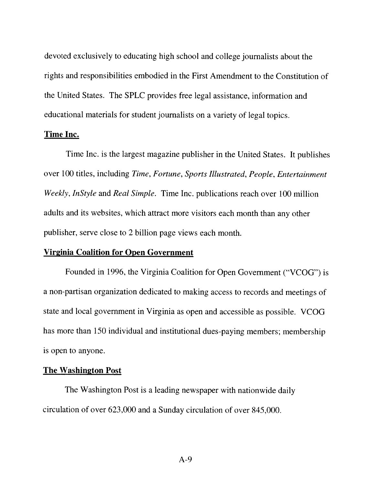devoted exclusively to educating high school and college journalists about the rights and responsibilities embodied in the First Amendment to the Constitution of the United States, The SPLC provides free legal assistance, information and educational materials for student journalists on a variety of legal topics.

#### Time Inc.

Time Inc. is the largest magazine publisher in the United States. It publishes over 100 titles, including Time, Fortune, Sports Illustrated. People, Entertainment Weekly, InStyle and Real Simple. Time Inc. publications reach over 100 million adults and its websites, which attract more visitors each month than any other publisher, serve close to 2 billion page views each month.

#### Virginia Coalition for Open Government

Founded in 1996, the Virginia Coalition for Open Government ("VCOG") is a non-partisan organization dedicated to making access to records and meetings of state and local government in Virginia as open and accessible as possible. VCOG has more than 150 individual and institutional dues-paying members; membership is open to anyone.

#### The Washington Post

The Washington Post is a leading newspaper with nationwide daily circulation of over 623,000 and a Sunday circulation of over 845,000.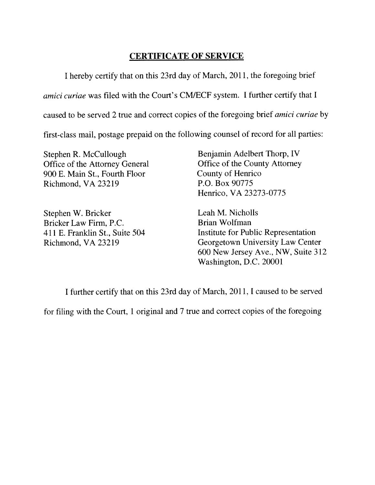## CERTIFICATE OF SERVICE

<sup>I</sup> hereby certify that on this 23rd day of March, 2011, the foregoing brief

amici curiae was filed with the Court's CM/ECF system. I further certify that I

caused to be served 2 true and correct copies of the foregoing brief *amici curiae* by

first-class mail, postage prepaid on the following counsel of record for all parties:

Stephen R. McCullough Benjamin Adelbert Thorp, IV<br>Office of the Attorney General Office of the County Attorney Office of the Attorney General Office of the County Office of the County of Henrico 900 E. Main St., Fourth Floor County of Henric<br>Richmond. VA 23219 P.O. Box 90775 Richmond, VA 23219

Stephen W. Bricker Leah M. Nicholls Bricker Law Firm, P.C. Brian Wolfman

Henrico, VA 23273-0775

411 E. Franklin St., Suite 504 Institute for Public Representation Richmond, VA 23219 Georgetown University Law Center 600 New Jersey Ave., NW, Suite 312 Washington, D.C. 20001

<sup>I</sup> further certify that on this 23rd day of March, 201 1, <sup>1</sup> caused to be served

for filing with the Court, <sup>1</sup> original and 7 true and correct copies of the foregoing